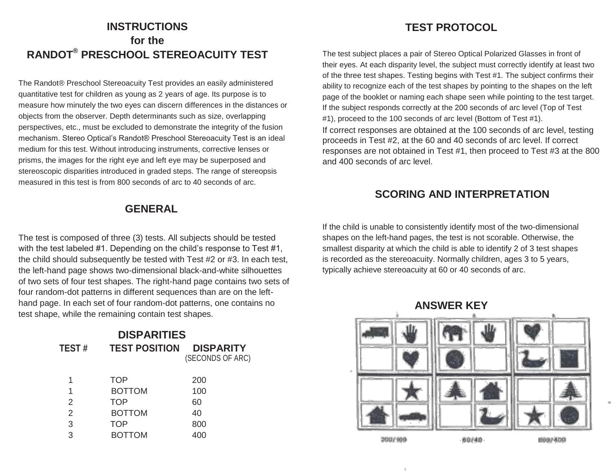### **INSTRUCTIONS for the RANDOT® PRESCHOOL STEREOACUITY TEST**

The Randot® Preschool Stereoacuity Test provides an easily administered quantitative test for children as young as 2 years of age. Its purpose is to measure how minutely the two eyes can discern differences in the distances or objects from the observer. Depth determinants such as size, overlapping perspectives, etc., must be excluded to demonstrate the integrity of the fusion mechanism. Stereo Optical's Randot® Preschool Stereoacuity Test is an ideal medium for this test. Without introducing instruments, corrective lenses or prisms, the images for the right eye and left eye may be superposed and stereoscopic disparities introduced in graded steps. The range of stereopsis measured in this test is from 800 seconds of arc to 40 seconds of arc.

#### **GENERAL**

The test is composed of three (3) tests. All subjects should be tested with the test labeled #1. Depending on the child's response to Test #1, the child should subsequently be tested with Test #2 or #3. In each test, the left-hand page shows two-dimensional black-and-white silhouettes of two sets of four test shapes. The right-hand page contains two sets of four random-dot patterns in different sequences than are on the lefthand page. In each set of four random-dot patterns, one contains no test shape, while the remaining contain test shapes.

| <b>DISPARITIES</b> |                      |                                      |
|--------------------|----------------------|--------------------------------------|
| <b>TEST#</b>       | <b>TEST POSITION</b> | <b>DISPARITY</b><br>(SECONDS OF ARC) |
| 1                  | <b>TOP</b>           | 200                                  |
| 1                  | <b>BOTTOM</b>        | 100                                  |
| 2                  | <b>TOP</b>           | 60                                   |
| $\overline{2}$     | <b>BOTTOM</b>        | 40                                   |
| 3                  | TOP                  | 800                                  |
| 3                  | <b>BOTTOM</b>        | 400                                  |

#### **TEST PROTOCOL**

The test subject places a pair of Stereo Optical Polarized Glasses in front of their eyes. At each disparity level, the subject must correctly identify at least two of the three test shapes. Testing begins with Test #1. The subject confirms their ability to recognize each of the test shapes by pointing to the shapes on the left page of the booklet or naming each shape seen while pointing to the test target. If the subject responds correctly at the 200 seconds of arc level (Top of Test #1), proceed to the 100 seconds of arc level (Bottom of Test #1).

If correct responses are obtained at the 100 seconds of arc level, testing proceeds in Test #2, at the 60 and 40 seconds of arc level. If correct responses are not obtained in Test #1, then proceed to Test #3 at the 800 and 400 seconds of arc level.

#### **SCORING AND INTERPRETATION**

If the child is unable to consistently identify most of the two-dimensional shapes on the left-hand pages, the test is not scorable. Otherwise, the smallest disparity at which the child is able to identify 2 of 3 test shapes is recorded as the stereoacuity. Normally children, ages 3 to 5 years, typically achieve stereoacuity at 60 or 40 seconds of arc.